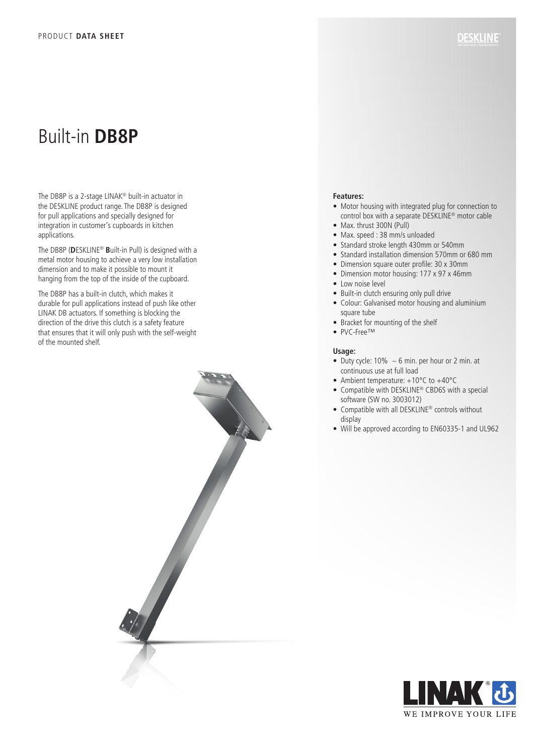# Built-in **DB8P**

The DB8P is a 2-stage LINAK® built-in actuator in the DESKLINE product range. The DB8P is designed for pull applications and specially designed for integration in customer's cupboards in kitchen applications.

The DB8P (**D**ESKLINE® **B**uilt-in Pull) is designed with a metal motor housing to achieve a very low installation dimension and to make it possible to mount it hanging from the top of the inside of the cupboard.

The DB8P has a built-in clutch, which makes it durable for pull applications instead of push like other LINAK DB actuators. If something is blocking the direction of the drive this clutch is a safety feature that ensures that it will only push with the self-weight of the mounted shelf.



### **Features:**

- Motor housing with integrated plug for connection to control box with a separate DESKLINE® motor cable
- Max. thrust 300N (Pull)
- Max. speed : 38 mm/s unloaded
- Standard stroke length 430mm or 540mm
- Standard installation dimension 570mm or 680 mm
- Dimension square outer profile: 30 x 30mm
- Dimension motor housing: 177 x 97 x 46mm
- Low noise level
- Built-in clutch ensuring only pull drive
- Colour: Galvanised motor housing and aluminium square tube
- Bracket for mounting of the shelf
- PVC-Free™

#### **Usage:**

- Duty cycle:  $10\% \sim 6$  min. per hour or 2 min. at continuous use at full load
- Ambient temperature: +10°C to +40°C
- Compatible with DESKLINE® CBD6S with a special software (SW no. 3003012)
- Compatible with all DESKLINE® controls without display
- Will be approved according to EN60335-1 and UL962

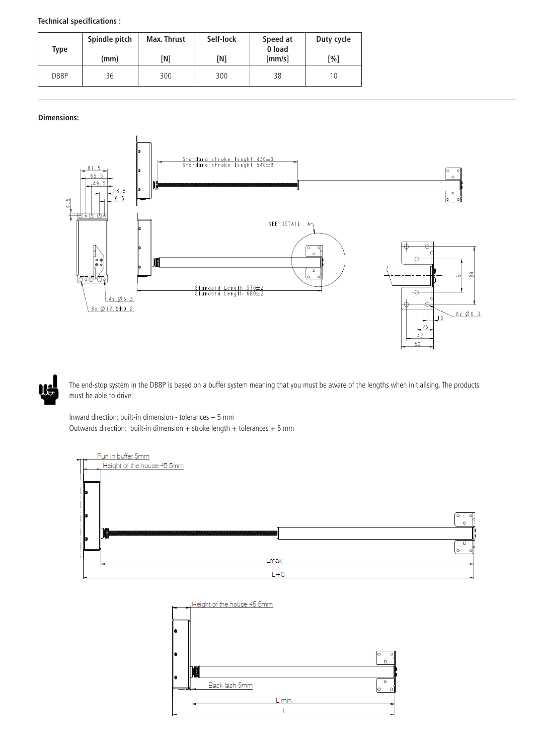| Technical specifications : |  |
|----------------------------|--|
|                            |  |

| Type | Spindle pitch<br>(mm) | <b>Max. Thrust</b><br>[N] | Self-lock<br>[N] | Speed at<br>0 load<br>${\rm [mm/s]}$ | Duty cycle<br>[%] |
|------|-----------------------|---------------------------|------------------|--------------------------------------|-------------------|
| DB8P | 36                    | 300                       | 300              | 38                                   | 10                |

## **Dimensions:**





The end-stop system in the DB8P is based on a buffer system meaning that you must be aware of the lengths when initialising. The products must be able to drive:

Inward direction: built-in dimension - tolerances – 5 mm Outwards direction: built-in dimension  $+$  stroke length  $+$  tolerances  $+$  5 mm



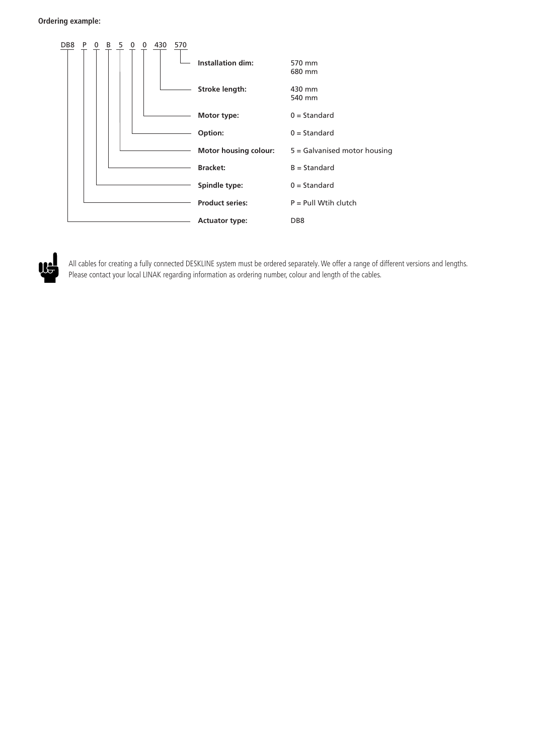



All cables for creating a fully connected DESKLINE system must be ordered separately. We offer a range of different versions and lengths. Please contact your local LINAK regarding information as ordering number, colour and length of the cables.